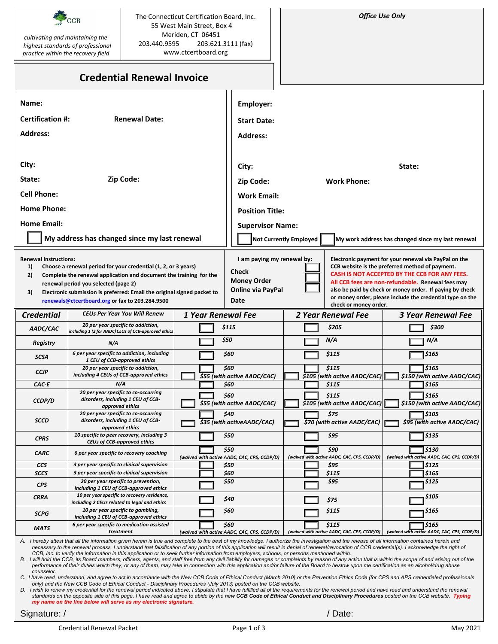| m |  |
|---|--|

 *cultivating and maintaining the highest standards of professional practice within the recovery field*

The Connecticut Certification Board, Inc. 55 West Main Street, Box 4 Meriden, CT 06451 203.440.9595 203.621.3111 (fax) www.ctcertboard.org

## **Credential Renewal Invoice**

| Name:                        |                                                                                                                                                                                                  |                    | Employer:                                           |                        |                                                      |                                                                                                                       |  |
|------------------------------|--------------------------------------------------------------------------------------------------------------------------------------------------------------------------------------------------|--------------------|-----------------------------------------------------|------------------------|------------------------------------------------------|-----------------------------------------------------------------------------------------------------------------------|--|
| <b>Certification #:</b>      | <b>Renewal Date:</b>                                                                                                                                                                             |                    | <b>Start Date:</b>                                  |                        |                                                      |                                                                                                                       |  |
| <b>Address:</b>              |                                                                                                                                                                                                  |                    | <b>Address:</b>                                     |                        |                                                      |                                                                                                                       |  |
|                              |                                                                                                                                                                                                  |                    |                                                     |                        |                                                      |                                                                                                                       |  |
|                              |                                                                                                                                                                                                  |                    |                                                     |                        |                                                      |                                                                                                                       |  |
| City:                        |                                                                                                                                                                                                  |                    | City:                                               |                        |                                                      | State:                                                                                                                |  |
| State:                       | Zip Code:                                                                                                                                                                                        |                    | Zip Code:                                           | <b>Work Phone:</b>     |                                                      |                                                                                                                       |  |
| <b>Cell Phone:</b>           |                                                                                                                                                                                                  |                    | <b>Work Email:</b>                                  |                        |                                                      |                                                                                                                       |  |
| <b>Home Phone:</b>           |                                                                                                                                                                                                  |                    | <b>Position Title:</b>                              |                        |                                                      |                                                                                                                       |  |
| <b>Home Email:</b>           |                                                                                                                                                                                                  |                    | <b>Supervisor Name:</b>                             |                        |                                                      |                                                                                                                       |  |
|                              | My address has changed since my last renewal                                                                                                                                                     |                    |                                                     | Not Currently Employed |                                                      | My work address has changed since my last renewal                                                                     |  |
|                              |                                                                                                                                                                                                  |                    |                                                     |                        |                                                      |                                                                                                                       |  |
| <b>Renewal Instructions:</b> |                                                                                                                                                                                                  |                    | I am paying my renewal by:                          |                        |                                                      | Electronic payment for your renewal via PayPal on the                                                                 |  |
| 1)<br>2)                     | Choose a renewal period for your credential (1, 2, or 3 years)<br>Complete the renewal application and document the training for the                                                             |                    | <b>Check</b>                                        |                        |                                                      | CCB website is the preferred method of payment.<br>CASH IS NOT ACCEPTED BY THE CCB FOR ANY FEES.                      |  |
|                              | renewal period you selected (page 2)                                                                                                                                                             |                    | <b>Money Order</b>                                  |                        |                                                      | All CCB fees are non-refundable. Renewal fees may                                                                     |  |
| 3)                           | Electronic submission is preferred: Email the original signed packet to                                                                                                                          |                    | <b>Online via PayPal</b><br>Date                    |                        |                                                      | also be paid by check or money order. If paying by check<br>or money order, please include the credential type on the |  |
|                              | renewals@ctcertboard.org or fax to 203.284.9500                                                                                                                                                  |                    |                                                     |                        | check or money order.                                |                                                                                                                       |  |
| <b>Credential</b>            | <b>CEUs Per Year You Will Renew</b>                                                                                                                                                              | 1 Year Renewal Fee |                                                     |                        | 2 Year Renewal Fee                                   | <b>3 Year Renewal Fee</b>                                                                                             |  |
| AADC/CAC                     | 20 per year specific to addiction,<br>including 1 (2 for AADC) CEUs of CCB-approved ethics                                                                                                       |                    | \$115                                               |                        | \$205                                                | \$300                                                                                                                 |  |
| Registry                     | N/A                                                                                                                                                                                              |                    | \$50                                                |                        | N/A                                                  | N/A                                                                                                                   |  |
| <b>SCSA</b>                  | 6 per year specific to addiction, including<br>1 CEU of CCB-approved ethics                                                                                                                      |                    | \$60                                                |                        | \$115                                                | \$165                                                                                                                 |  |
| <b>CCJP</b>                  | 20 per year specific to addiction,                                                                                                                                                               |                    | \$60                                                |                        | \$115                                                | 5165                                                                                                                  |  |
| CAC E                        | including 4 CEUs of CCB-approved ethics<br>N/A                                                                                                                                                   |                    | \$55 (with active AADC/CAC)<br>\$60                 |                        | \$105 (with active AADC/CAC)<br>\$115                | \$150 (with active AADC/CAC)<br>\$165                                                                                 |  |
|                              | 20 per year specific to co-occurring                                                                                                                                                             |                    | \$60                                                |                        | \$115                                                | \$165                                                                                                                 |  |
| CCDP/D                       | disorders, including 1 CEU of CCB-<br>approved ethics                                                                                                                                            |                    | \$55 (with active AADC/CAC)                         |                        | \$105 (with active AADC/CAC)                         | \$150 (with active AADC/CAC)                                                                                          |  |
| <b>SCCD</b>                  | 20 per year specific to co-occurring<br>disorders, including 1 CEU of CCB-                                                                                                                       |                    | \$40                                                |                        | \$75                                                 | \$105                                                                                                                 |  |
|                              | approved ethics                                                                                                                                                                                  |                    | \$35 (with active AADC/CAC)                         |                        | \$70 (with active AADC/CAC)                          | \$95 (with active AADC/CAC)                                                                                           |  |
| <b>CPRS</b>                  | 10 specific to peer recovery, including 3<br><b>CEUs of CCB-approved ethics</b>                                                                                                                  |                    | \$50                                                |                        | \$95                                                 | 5135                                                                                                                  |  |
| CARC                         | 6 per year specific to recovery coaching                                                                                                                                                         |                    | \$50<br>(waived with active AADC, CAC, CPS, CCDP/D) |                        | \$90<br>(waived with active AADC, CAC, CPS, CCDP/D)  | \$130<br>(waived with active AADC, CAC, CPS, CCDP/D)                                                                  |  |
| <b>CCS</b>                   | 3 per year specific to clinical supervision                                                                                                                                                      |                    | \$50                                                |                        | \$95                                                 | \$125                                                                                                                 |  |
| <b>SCCS</b>                  | 3 per year specific to clinical supervision                                                                                                                                                      |                    | \$60                                                |                        | \$115                                                | 5165                                                                                                                  |  |
| <b>CPS</b>                   | 20 per year specific to prevention,<br>including 1 CEU of CCB-approved ethics                                                                                                                    |                    | \$50                                                |                        | \$95                                                 | \$125                                                                                                                 |  |
| CRRA                         | 10 per year specific to recovery residence,<br>including 2 CEUs related to legal and ethics                                                                                                      |                    | \$40                                                |                        | \$75                                                 | \$105                                                                                                                 |  |
| <b>SCPG</b>                  | 10 per year specific to gambling,                                                                                                                                                                |                    | \$60                                                |                        | \$115                                                | \$165                                                                                                                 |  |
| <b>MATS</b>                  | including 1 CEU of CCB-approved ethics<br>6 per year specific to medication assisted<br>treatment                                                                                                |                    | \$60                                                |                        | \$115<br>(waived with active AADC, CAC, CPS, CCDP/D) | \$165<br>(waived with active AADC, CAC, CPS, CCDP/D)                                                                  |  |
|                              | A. I hereby attest that all the information given herein is true and complete to the best of my knowledge. I authorize the investigation and the release of all information contained herein and |                    | (waived with active AADC, CAC, CPS, CCDP/D)         |                        |                                                      |                                                                                                                       |  |

A. I hereby attest that all the information given herein is true and complete to the best of my knowledge. I authorize the investigation and the release of all information contained herein and<br>necessary to the renewal proc *CCB, Inc. to verify the information in this application or to seek further information from employers, schools, or persons mentioned within.*

*B. I will hold the CCB, its Board members, officers, agents, and staff free from any civil liability for damages or complaints by reason of any action that is within the scope of and arising out of the*  performance of their duties which they, or any of them, may take in connection with this application and/or failure of the Board to bestow upon me certification as an alcohol/drug abuse *counselor.* 

*C. I have read, understand, and agree to act in accordance with the New CCB Code of Ethical Conduct (March 2010) or the Prevention Ethics Code (for CPS and APS credentialed professionals only) and the New CCB Code of Ethical Conduct - Disciplinary Procedures (July 2013) posted on the CCB website.*

D. I wish to renew my credential for the renewal period indicated above. I stipulate that I have fulfilled all of the requirements for the renewal period and have read and understand the renewal *standards on the opposite side of this page. I have read and agree to abide by the new CCB Code of Ethical Conduct and Disciplinary Procedures posted on the CCB website. Typing my name on the line below will serve as my electronic signature.*

Signature: /  $\sqrt{a}$  Date: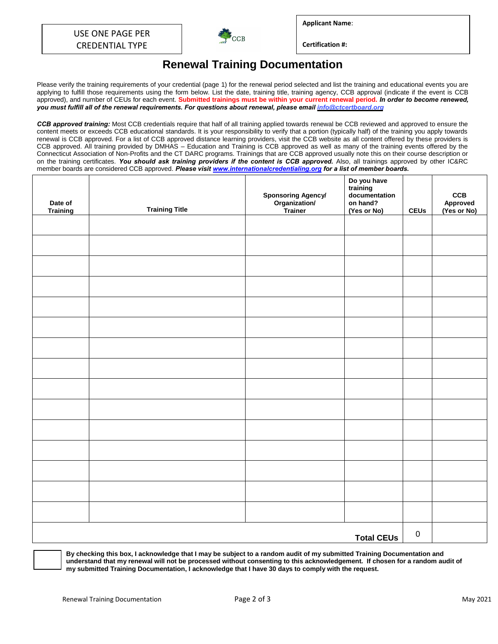

**Applicant Name**:

**Certification #:** 

## **Renewal Training Documentation**

Please verify the training requirements of your credential (page 1) for the renewal period selected and list the training and educational events you are applying to fulfill those requirements using the form below. List the date, training title, training agency, CCB approval (indicate if the event is CCB approved), and number of CEUs for each event. **Submitted trainings must be within your current renewal period.** *In order to become renewed, you must fulfill all of the renewal requirements. For questions about renewal, please email info@ctcertboard.org*

*CCB approved training:* Most CCB credentials require that half of all training applied towards renewal be CCB reviewed and approved to ensure the content meets or exceeds CCB educational standards. It is your responsibility to verify that a portion (typically half) of the training you apply towards renewal is CCB approved. For a list of CCB approved distance learning providers, visit the CCB website as all content offered by these providers is CCB approved. All training provided by DMHAS – Education and Training is CCB approved as well as many of the training events offered by the Connecticut Association of Non-Profits and the CT DARC programs. Trainings that are CCB approved usually note this on their course description or on the training certificates. *You should ask training providers if the content is CCB approved.* Also, all trainings approved by other IC&RC member boards are considered CCB approved. *Please visit www.internationalcredentialing.org for a list of member boards.*

| Date of<br>Training | <b>Training Title</b> | <b>Sponsoring Agency/<br/>Organization/<br/>Trainer</b> | Do you have<br>training<br>documentation<br>on hand?<br>(Yes or No) | <b>CEUs</b> | CCB<br>Approved<br>(Yes or No) |
|---------------------|-----------------------|---------------------------------------------------------|---------------------------------------------------------------------|-------------|--------------------------------|
|                     |                       |                                                         |                                                                     |             |                                |
|                     |                       |                                                         |                                                                     |             |                                |
|                     |                       |                                                         |                                                                     |             |                                |
|                     |                       |                                                         |                                                                     |             |                                |
|                     |                       |                                                         |                                                                     |             |                                |
|                     |                       |                                                         |                                                                     |             |                                |
|                     |                       |                                                         |                                                                     |             |                                |
|                     |                       |                                                         |                                                                     |             |                                |
|                     |                       |                                                         |                                                                     |             |                                |
|                     |                       |                                                         |                                                                     |             |                                |
|                     |                       |                                                         |                                                                     |             |                                |
|                     |                       |                                                         |                                                                     |             |                                |
|                     |                       |                                                         |                                                                     |             |                                |
|                     |                       |                                                         |                                                                     |             |                                |
|                     |                       |                                                         |                                                                     |             |                                |
| <b>Total CEUs</b>   |                       |                                                         |                                                                     |             |                                |

**By checking this box, I acknowledge that I may be subject to a random audit of my submitted Training Documentation and understand that my renewal will not be processed without consenting to this acknowledgement. If chosen for a random audit of my submitted Training Documentation, I acknowledge that I have 30 days to comply with the request.**